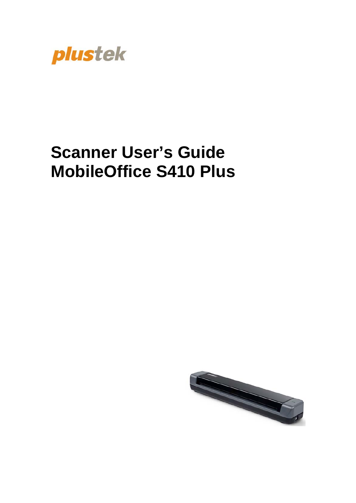

# **Scanner User's Guide MobileOffice S410 Plus**

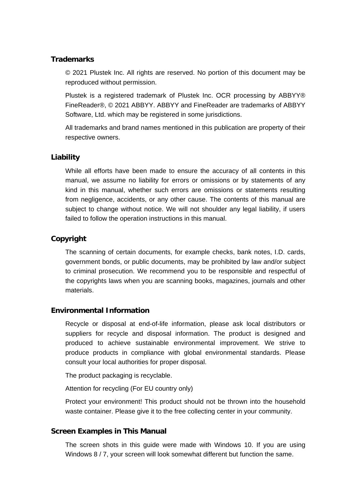#### **Trademarks**

© 2021 Plustek Inc. All rights are reserved. No portion of this document may be reproduced without permission.

Plustek is a registered trademark of Plustek Inc. OCR processing by ABBYY® FineReader®, © 2021 ABBYY. ABBYY and FineReader are trademarks of ABBYY Software, Ltd. which may be registered in some jurisdictions.

All trademarks and brand names mentioned in this publication are property of their respective owners.

#### **Liability**

While all efforts have been made to ensure the accuracy of all contents in this manual, we assume no liability for errors or omissions or by statements of any kind in this manual, whether such errors are omissions or statements resulting from negligence, accidents, or any other cause. The contents of this manual are subject to change without notice. We will not shoulder any legal liability, if users failed to follow the operation instructions in this manual.

#### **Copyright**

The scanning of certain documents, for example checks, bank notes, I.D. cards, government bonds, or public documents, may be prohibited by law and/or subject to criminal prosecution. We recommend you to be responsible and respectful of the copyrights laws when you are scanning books, magazines, journals and other materials.

#### **Environmental Information**

Recycle or disposal at end-of-life information, please ask local distributors or suppliers for recycle and disposal information. The product is designed and produced to achieve sustainable environmental improvement. We strive to produce products in compliance with global environmental standards. Please consult your local authorities for proper disposal.

The product packaging is recyclable.

Attention for recycling (For EU country only)

Protect your environment! This product should not be thrown into the household waste container. Please give it to the free collecting center in your community.

#### **Screen Examples in This Manual**

The screen shots in this guide were made with Windows 10. If you are using Windows 8 / 7, your screen will look somewhat different but function the same.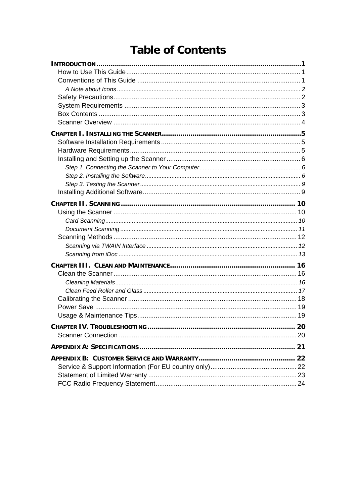### **Table of Contents**

| .20 |
|-----|
|     |
|     |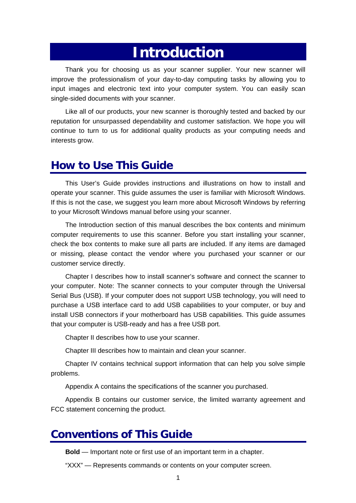## <span id="page-3-1"></span>**Introduction**

<span id="page-3-0"></span>Thank you for choosing us as your scanner supplier. Your new scanner will improve the professionalism of your day-to-day computing tasks by allowing you to input images and electronic text into your computer system. You can easily scan single-sided documents with your scanner.

Like all of our products, your new scanner is thoroughly tested and backed by our reputation for unsurpassed dependability and customer satisfaction. We hope you will continue to turn to us for additional quality products as your computing needs and interests grow.

### **How to Use This Guide**

This User's Guide provides instructions and illustrations on how to install and operate your scanner. This guide assumes the user is familiar with Microsoft Windows. If this is not the case, we suggest you learn more about Microsoft Windows by referring to your Microsoft Windows manual before using your scanner.

The [Introduction](#page-3-1) section of this manual describes the box contents and minimum computer requirements to use this scanner. Before you start installing your scanner, check the box contents to make sure all parts are included. If any items are damaged or missing, please contact the vendor where you purchased your scanner or our customer service directly.

Chapter I describes how to install scanner's software and connect the scanner to your computer. Note: The scanner connects to your computer through the Universal Serial Bus (USB). If your computer does not support USB technology, you will need to purchase a USB interface card to add USB capabilities to your computer, or buy and install USB connectors if your motherboard has USB capabilities. This guide assumes that your computer is USB-ready and has a free USB port.

Chapter II describes how to use your scanner.

Chapter III describes how to maintain and clean your scanner.

Chapter IV contains technical support information that can help you solve simple problems.

Appendix A contains the specifications of the scanner you purchased.

Appendix B contains our customer service, the limited warranty agreement and FCC statement concerning the product.

### **Conventions of This Guide**

**Bold** — Important note or first use of an important term in a chapter.

"XXX" — Represents commands or contents on your computer screen.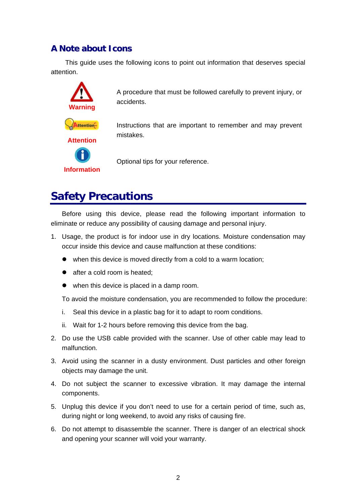#### <span id="page-4-0"></span>**A Note about Icons**

This guide uses the following icons to point out information that deserves special attention.



A procedure that must be followed carefully to prevent injury, or accidents.

Instructions that are important to remember and may prevent mistakes.

Optional tips for your reference.

### **Safety Precautions**

Before using this device, please read the following important information to eliminate or reduce any possibility of causing damage and personal injury.

- 1. Usage, the product is for indoor use in dry locations. Moisture condensation may occur inside this device and cause malfunction at these conditions:
	- $\bullet$  when this device is moved directly from a cold to a warm location:
	- $\bullet$  after a cold room is heated:
	- $\bullet$  when this device is placed in a damp room.

To avoid the moisture condensation, you are recommended to follow the procedure:

- i. Seal this device in a plastic bag for it to adapt to room conditions.
- ii. Wait for 1-2 hours before removing this device from the bag.
- 2. Do use the USB cable provided with the scanner. Use of other cable may lead to malfunction.
- 3. Avoid using the scanner in a dusty environment. Dust particles and other foreign objects may damage the unit.
- 4. Do not subject the scanner to excessive vibration. It may damage the internal components.
- 5. Unplug this device if you don't need to use for a certain period of time, such as, during night or long weekend, to avoid any risks of causing fire.
- 6. Do not attempt to disassemble the scanner. There is danger of an electrical shock and opening your scanner will void your warranty.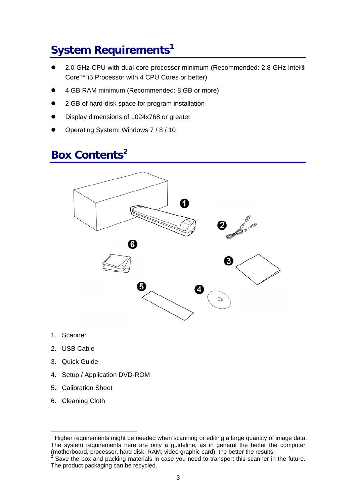## <span id="page-5-0"></span>**System Requirement[s1](#page-5-1)**

- 2.0 GHz CPU with dual-core processor minimum (Recommended: 2.8 GHz Intel® Core™ i5 Processor with 4 CPU Cores or better)
- z 4 GB RAM minimum (Recommended: 8 GB or more)
- z 2 GB of hard-disk space for program installation
- Display dimensions of 1024x768 or greater
- Operating System: Windows 7 / 8 / 10

### **Box Contents[2](#page-5-2)**



- 1. Scanner
- 2. USB Cable
- 3. Quick Guide
- 4. Setup / Application DVD-ROM
- 5. Calibration Sheet
- 6. Cleaning Cloth

<span id="page-5-1"></span> <sup>1</sup> Higher requirements might be needed when scanning or editing a large quantity of image data. The system requirements here are only a guideline, as in general the better the computer (motherboard, processor, hard disk, RAM, video graphic card), the better the results.<br><sup>2</sup> Save the box and packing materials in case you need to transport this scanner in the future.

<span id="page-5-2"></span>The product packaging can be recycled.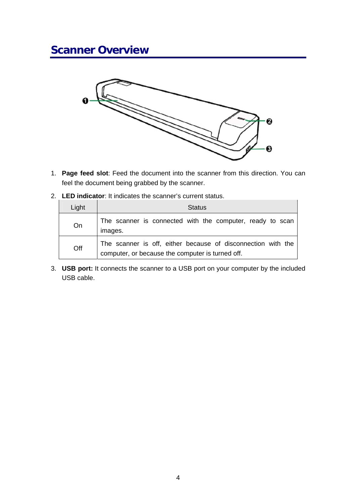### <span id="page-6-0"></span>**Scanner Overview**



- 1. **Page feed slot**: Feed the document into the scanner from this direction. You can feel the document being grabbed by the scanner.
- 2. **LED indicator**: It indicates the scanner's current status.

| Light | <b>Status</b>                                                                                                    |
|-------|------------------------------------------------------------------------------------------------------------------|
| On    | The scanner is connected with the computer, ready to scan<br>images.                                             |
| Off   | The scanner is off, either because of disconnection with the<br>computer, or because the computer is turned off. |

3. **USB port:** It connects the scanner to a USB port on your computer by the included USB cable.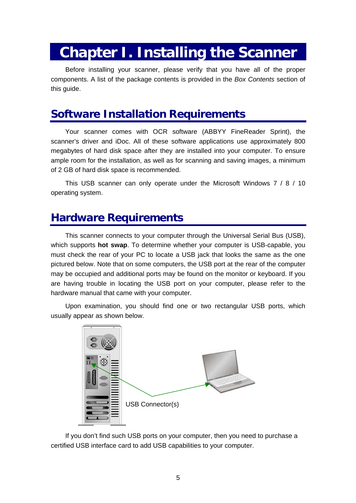## <span id="page-7-0"></span>**Chapter I. Installing the Scanner**

Before installing your scanner, please verify that you have all of the proper components. A list of the package contents is provided in the *Box Contents* section of this quide.

### **Software Installation Requirements**

Your scanner comes with OCR software (ABBYY FineReader Sprint), the scanner's driver and iDoc. All of these software applications use approximately 800 megabytes of hard disk space after they are installed into your computer. To ensure ample room for the installation, as well as for scanning and saving images, a minimum of 2 GB of hard disk space is recommended.

This USB scanner can only operate under the Microsoft Windows 7 / 8 / 10 operating system.

### **Hardware Requirements**

This scanner connects to your computer through the Universal Serial Bus (USB), which supports **hot swap**. To determine whether your computer is USB-capable, you must check the rear of your PC to locate a USB jack that looks the same as the one pictured below. Note that on some computers, the USB port at the rear of the computer may be occupied and additional ports may be found on the monitor or keyboard. If you are having trouble in locating the USB port on your computer, please refer to the hardware manual that came with your computer.

Upon examination, you should find one or two rectangular USB ports, which usually appear as shown below.



If you don't find such USB ports on your computer, then you need to purchase a certified USB interface card to add USB capabilities to your computer.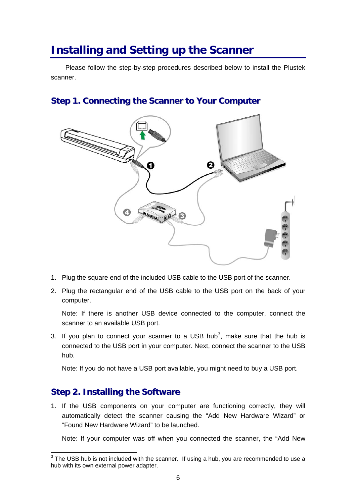### <span id="page-8-0"></span>**Installing and Setting up the Scanner**

Please follow the step-by-step procedures described below to install the Plustek scanner.

#### **Step 1. Connecting the Scanner to Your Computer**



- 1. Plug the square end of the included USB cable to the USB port of the scanner.
- 2. Plug the rectangular end of the USB cable to the USB port on the back of your computer.

Note: If there is another USB device connected to the computer, connect the scanner to an available USB port.

[3](#page-8-1). If you plan to connect your scanner to a USB hub<sup>3</sup>, make sure that the hub is connected to the USB port in your computer. Next, connect the scanner to the USB hub.

Note: If you do not have a USB port available, you might need to buy a USB port.

#### **Step 2. Installing the Software**

1. If the USB components on your computer are functioning correctly, they will automatically detect the scanner causing the "Add New Hardware Wizard" or "Found New Hardware Wizard" to be launched.

Note: If your computer was off when you connected the scanner, the "Add New

<span id="page-8-1"></span> $3$  The USB hub is not included with the scanner. If using a hub, you are recommended to use a hub with its own external power adapter.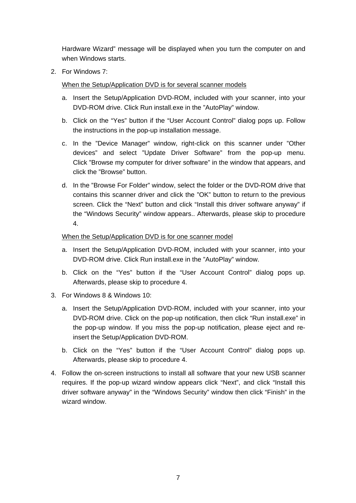Hardware Wizard" message will be displayed when you turn the computer on and when Windows starts.

2. For Windows 7:

When the Setup/Application DVD is for several scanner models

- a. Insert the Setup/Application DVD-ROM, included with your scanner, into your DVD-ROM drive. Click Run install.exe in the "AutoPlay" window.
- b. Click on the "Yes" button if the "User Account Control" dialog pops up. Follow the instructions in the pop-up installation message.
- c. In the "Device Manager" window, right-click on this scanner under "Other devices" and select "Update Driver Software" from the pop-up menu. Click "Browse my computer for driver software" in the window that appears, and click the "Browse" button.
- d. In the "Browse For Folder" window, select the folder or the DVD-ROM drive that contains this scanner driver and click the "OK" button to return to the previous screen. Click the "Next" button and click "Install this driver software anyway" if the "Windows Security" window appears.. Afterwards, please skip to procedure 4.

#### When the Setup/Application DVD is for one scanner model

- a. Insert the Setup/Application DVD-ROM, included with your scanner, into your DVD-ROM drive. Click Run install.exe in the "AutoPlay" window.
- b. Click on the "Yes" button if the "User Account Control" dialog pops up. Afterwards, please skip to procedure 4.
- 3. For Windows 8 & Windows 10:
	- a. Insert the Setup/Application DVD-ROM, included with your scanner, into your DVD-ROM drive. Click on the pop-up notification, then click "Run install.exe" in the pop-up window. If you miss the pop-up notification, please eject and reinsert the Setup/Application DVD-ROM.
	- b. Click on the "Yes" button if the "User Account Control" dialog pops up. Afterwards, please skip to procedure 4.
- 4. Follow the on-screen instructions to install all software that your new USB scanner requires. If the pop-up wizard window appears click "Next", and click "Install this driver software anyway" in the "Windows Security" window then click "Finish" in the wizard window.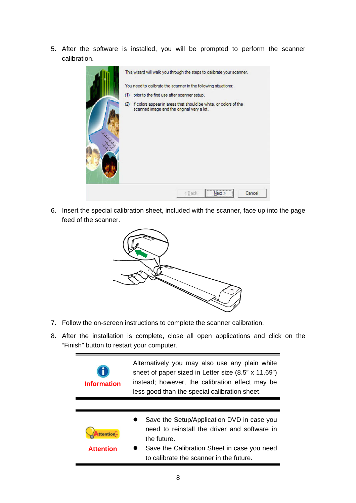5. After the software is installed, you will be prompted to perform the scanner calibration.



6. Insert the special calibration sheet, included with the scanner, face up into the page feed of the scanner.



- 7. Follow the on-screen instructions to complete the scanner calibration.
- 8. After the installation is complete, close all open applications and click on the "Finish" button to restart your computer.

| <b>Information</b> | Alternatively you may also use any plain white<br>sheet of paper sized in Letter size (8.5" x 11.69")<br>instead; however, the calibration effect may be<br>less good than the special calibration sheet. |  |
|--------------------|-----------------------------------------------------------------------------------------------------------------------------------------------------------------------------------------------------------|--|
|                    |                                                                                                                                                                                                           |  |
| <b>ttention</b>    | Save the Setup/Application DVD in case you<br>need to reinstall the driver and software in<br>the future.                                                                                                 |  |
| <b>Attention</b>   | Save the Calibration Sheet in case you need<br>to calibrate the scanner in the future.                                                                                                                    |  |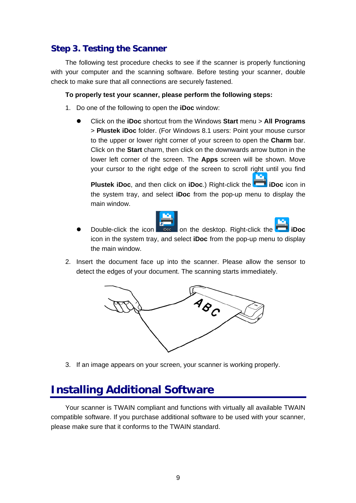#### <span id="page-11-0"></span>**Step 3. Testing the Scanner**

The following test procedure checks to see if the scanner is properly functioning with your computer and the scanning software. Before testing your scanner, double check to make sure that all connections are securely fastened.

#### **To properly test your scanner, please perform the following steps:**

- 1. Do one of the following to open the **iDoc** window:
	- z Click on the **iDoc** shortcut from the Windows **Start** menu > **All Programs** > **Plustek iDoc** folder. (For Windows 8.1 users: Point your mouse cursor to the upper or lower right corner of your screen to open the **Charm** bar. Click on the **Start** charm, then click on the downwards arrow button in the lower left corner of the screen. The **Apps** screen will be shown. Move your cursor to the right edge of the screen to scroll right until you find

**Plustek iDoc**, and then click on **iDoc**.) Right-click the **iDoc** icon in the system tray, and select **iDoc** from the pop-up menu to display the main window.



- Double-click the icon **iDoc** on the desktop. Right-click the **iDoc** icon in the system tray, and select **iDoc** from the pop-up menu to display the main window.
- 2. Insert the document face up into the scanner. Please allow the sensor to detect the edges of your document. The scanning starts immediately.



3. If an image appears on your screen, your scanner is working properly.

### **Installing Additional Software**

Your scanner is TWAIN compliant and functions with virtually all available TWAIN compatible software. If you purchase additional software to be used with your scanner, please make sure that it conforms to the TWAIN standard.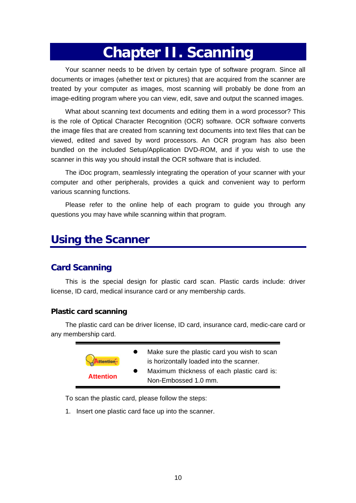## **Chapter II. Scanning**

<span id="page-12-0"></span>Your scanner needs to be driven by certain type of software program. Since all documents or images (whether text or pictures) that are acquired from the scanner are treated by your computer as images, most scanning will probably be done from an image-editing program where you can view, edit, save and output the scanned images.

What about scanning text documents and editing them in a word processor? This is the role of Optical Character Recognition (OCR) software. OCR software converts the image files that are created from scanning text documents into text files that can be viewed, edited and saved by word processors. An OCR program has also been bundled on the included Setup/Application DVD-ROM, and if you wish to use the scanner in this way you should install the OCR software that is included.

The iDoc program, seamlessly integrating the operation of your scanner with your computer and other peripherals, provides a quick and convenient way to perform various scanning functions.

Please refer to the online help of each program to guide you through any questions you may have while scanning within that program.

### **Using the Scanner**

#### **Card Scanning**

This is the special design for plastic card scan. Plastic cards include: driver license, ID card, medical insurance card or any membership cards.

#### **Plastic card scanning**

The plastic card can be driver license, ID card, insurance card, medic-care card or any membership card.

|                  | Make sure the plastic card you wish to scan<br>is horizontally loaded into the scanner. |
|------------------|-----------------------------------------------------------------------------------------|
| <b>Attention</b> | Maximum thickness of each plastic card is:<br>Non-Embossed 1.0 mm.                      |

To scan the plastic card, please follow the steps:

1. Insert one plastic card face up into the scanner.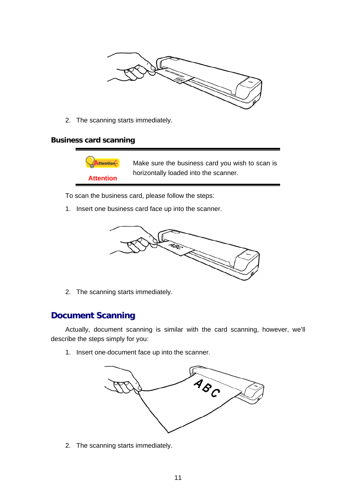<span id="page-13-0"></span>

2. The scanning starts immediately.

#### **Business card scanning**



To scan the business card, please follow the steps:

1. Insert one business card face up into the scanner.



2. The scanning starts immediately.

#### **Document Scanning**

Actually, document scanning is similar with the card scanning, however, we'll describe the steps simply for you:

1. Insert one document face up into the scanner.



2. The scanning starts immediately.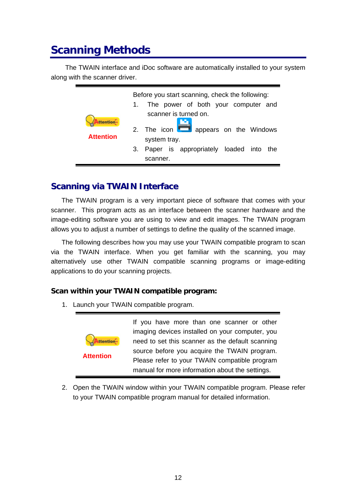### <span id="page-14-0"></span>**Scanning Methods**

The TWAIN interface and iDoc software are automatically installed to your system along with the scanner driver.

|                                     | Before you start scanning, check the following:<br>The power of both your computer and<br>$1_{-}$                                                                                                                                                    |
|-------------------------------------|------------------------------------------------------------------------------------------------------------------------------------------------------------------------------------------------------------------------------------------------------|
| <b>ttention</b><br><b>Attention</b> | scanner is turned on.                                                                                                                                                                                                                                |
|                                     | 2. The icon <b>The State Separate Separate State Separate State State State State State State State State State State State State State State State State State State State State State State State State State State State Stat</b><br>system tray. |
|                                     | Paper is appropriately loaded into the<br>3.<br>scanner.                                                                                                                                                                                             |

#### **Scanning via TWAIN Interface**

The TWAIN program is a very important piece of software that comes with your scanner. This program acts as an interface between the scanner hardware and the image-editing software you are using to view and edit images. The TWAIN program allows you to adjust a number of settings to define the quality of the scanned image.

The following describes how you may use your TWAIN compatible program to scan via the TWAIN interface. When you get familiar with the scanning, you may alternatively use other TWAIN compatible scanning programs or image-editing applications to do your scanning projects.

#### **Scan within your TWAIN compatible program:**

1. Launch your TWAIN compatible program.



2. Open the TWAIN window within your TWAIN compatible program. Please refer to your TWAIN compatible program manual for detailed information.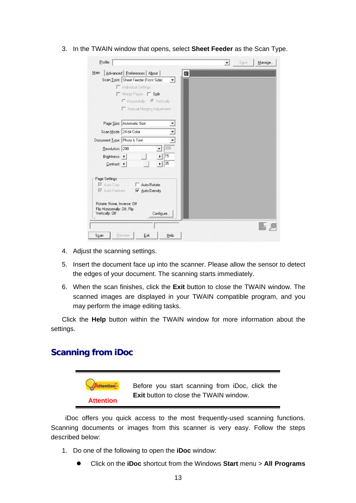<span id="page-15-0"></span>3. In the TWAIN window that opens, select **Sheet Feeder** as the Scan Type.

| Profile:                                                     | $\blacktriangledown$ | Save | Manage |
|--------------------------------------------------------------|----------------------|------|--------|
| Main<br>Advanced   Preferences   About  <br>cm               |                      |      |        |
| Scan Type: Sheet Feeder (Front Side)<br>$\blacktriangledown$ |                      |      |        |
| <b>F</b> Individual Settings                                 |                      |      |        |
| Merge Pages Split                                            |                      |      |        |
| C Horizontally <sup>C</sup> Vertically                       |                      |      |        |
| Manual Merging Adjustment                                    |                      |      |        |
| Page Size: Automatic Size                                    |                      |      |        |
| Scan Mode: 24-bit Color                                      |                      |      |        |
|                                                              |                      |      |        |
| Document Type: Photo & Text<br>▼                             |                      |      |        |
| 200<br>Resolution: 200                                       |                      |      |        |
| 15<br>Brightness: 4                                          |                      |      |        |
| 35<br>Contrast: 4                                            |                      |      |        |
|                                                              |                      |      |        |
| Page Settings                                                |                      |      |        |
| Ⅳ Auto Crop<br>Auto Rotate<br>П                              |                      |      |        |
| <b>▼</b> Auto Deskew<br>$\triangledown$ Auto Density         |                      |      |        |
|                                                              |                      |      |        |
| Rotate: None, Inverse: Off                                   |                      |      |        |
| Flip Horizontally: Off, Flip<br>Vertically: Off<br>Configure |                      |      |        |
|                                                              |                      |      |        |
| Exit<br>Preview<br>Help<br>Scan                              |                      |      |        |

- 4. Adjust the scanning settings.
- 5. Insert the document face up into the scanner. Please allow the sensor to detect the edges of your document. The scanning starts immediately.
- 6. When the scan finishes, click the **Exit** button to close the TWAIN window. The scanned images are displayed in your TWAIN compatible program, and you may perform the image editing tasks.

Click the **Help** button within the TWAIN window for more information about the settings.

#### **Scanning from iDoc**



iDoc offers you quick access to the most frequently-used scanning functions. Scanning documents or images from this scanner is very easy. Follow the steps described below:

- 1. Do one of the following to open the **iDoc** window:
	- z Click on the **iDoc** shortcut from the Windows **Start** menu > **All Programs**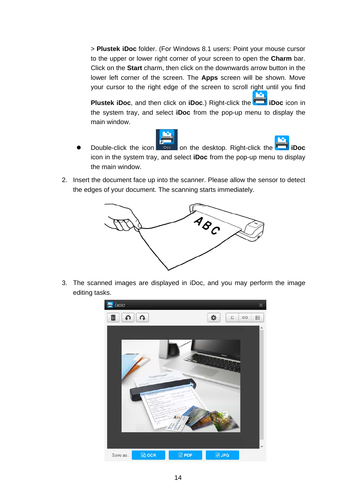> **Plustek iDoc** folder. (For Windows 8.1 users: Point your mouse cursor to the upper or lower right corner of your screen to open the **Charm** bar. Click on the **Start** charm, then click on the downwards arrow button in the lower left corner of the screen. The **Apps** screen will be shown. Move your cursor to the right edge of the screen to scroll right until you find

**Plustek iDoc**, and then click on **iDoc**.) Right-click the **iDoc** icon in the system tray, and select **iDoc** from the pop-up menu to display the main window.



- Double-click the icon **iDoc** on the desktop. Right-click the **iDoc** icon in the system tray, and select **iDoc** from the pop-up menu to display the main window.
- 2. Insert the document face up into the scanner. Please allow the sensor to detect the edges of your document. The scanning starts immediately.



3. The scanned images are displayed in iDoc, and you may perform the image editing tasks.

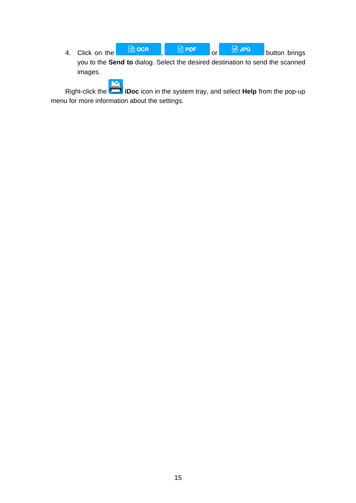4. Click on the  $\frac{1}{2}$  och  $\frac{1}{2}$  PDF or  $\frac{1}{2}$  JPG button brings you to the **Send to** dialog. Select the desired destination to send the scanned images.

Right-click the **iDoc** icon in the system tray, and select **Help** from the pop-up menu for more information about the settings.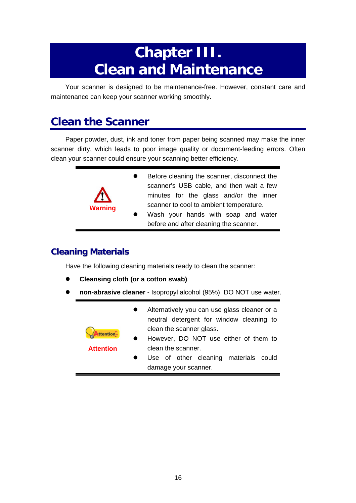## **Chapter III. Clean and Maintenance**

<span id="page-18-0"></span>Your scanner is designed to be maintenance-free. However, constant care and maintenance can keep your scanner working smoothly.

### **Clean the Scanner**

Paper powder, dust, ink and toner from paper being scanned may make the inner scanner dirty, which leads to poor image quality or document-feeding errors. Often clean your scanner could ensure your scanning better efficiency.

| Λ              | Before cleaning the scanner, disconnect the<br>scanner's USB cable, and then wait a few<br>minutes for the glass and/or the inner |
|----------------|-----------------------------------------------------------------------------------------------------------------------------------|
| <b>Warning</b> | scanner to cool to ambient temperature.                                                                                           |
|                | Wash your hands with soap and water                                                                                               |
|                | before and after cleaning the scanner.                                                                                            |

#### **Cleaning Materials**

Have the following cleaning materials ready to clean the scanner:

- **Cleansing cloth (or a cotton swab)**
- z **non-abrasive cleaner**  Isopropyl alcohol (95%). DO NOT use water.

| <b>ttention</b><br><b>Attention</b> | Alternatively you can use glass cleaner or a<br>neutral detergent for window cleaning to<br>clean the scanner glass.<br>However, DO NOT use either of them to<br>clean the scanner. |  |
|-------------------------------------|-------------------------------------------------------------------------------------------------------------------------------------------------------------------------------------|--|
|                                     | Use of other cleaning materials could<br>damage your scanner.                                                                                                                       |  |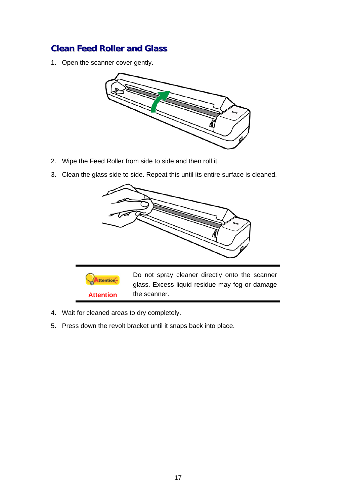#### <span id="page-19-0"></span>**Clean Feed Roller and Glass**

1. Open the scanner cover gently.



- 2. Wipe the Feed Roller from side to side and then roll it.
- 3. Clean the glass side to side. Repeat this until its entire surface is cleaned.



- 4. Wait for cleaned areas to dry completely.
- 5. Press down the revolt bracket until it snaps back into place.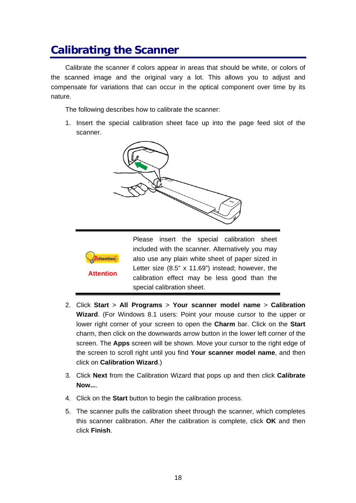### <span id="page-20-0"></span>**Calibrating the Scanner**

Calibrate the scanner if colors appear in areas that should be white, or colors of the scanned image and the original vary a lot. This allows you to adjust and compensate for variations that can occur in the optical component over time by its nature.

The following describes how to calibrate the scanner:

1. Insert the special calibration sheet face up into the page feed slot of the scanner.



- 2. Click **Start** > **All Programs** > **Your scanner model name** > **Calibration Wizard**. (For Windows 8.1 users: Point your mouse cursor to the upper or lower right corner of your screen to open the **Charm** bar. Click on the **Start** charm, then click on the downwards arrow button in the lower left corner of the screen. The **Apps** screen will be shown. Move your cursor to the right edge of the screen to scroll right until you find **Your scanner model name**, and then click on **Calibration Wizard**.)
- 3. Click **Next** from the Calibration Wizard that pops up and then click **Calibrate Now...**.
- 4. Click on the **Start** button to begin the calibration process.
- 5. The scanner pulls the calibration sheet through the scanner, which completes this scanner calibration. After the calibration is complete, click **OK** and then click **Finish**.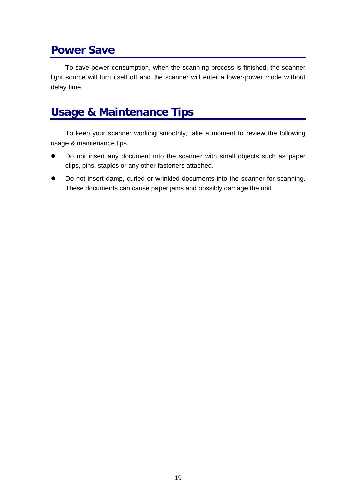### <span id="page-21-0"></span>**Power Save**

To save power consumption, when the scanning process is finished, the scanner light source will turn itself off and the scanner will enter a lower-power mode without delay time.

### **Usage & Maintenance Tips**

To keep your scanner working smoothly, take a moment to review the following usage & maintenance tips.

- Do not insert any document into the scanner with small objects such as paper clips, pins, staples or any other fasteners attached.
- $\bullet$  Do not insert damp, curled or wrinkled documents into the scanner for scanning. These documents can cause paper jams and possibly damage the unit.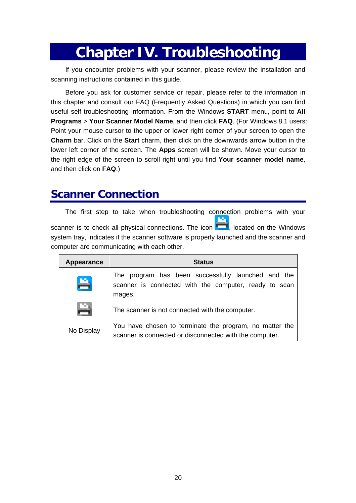## **Chapter IV. Troubleshooting**

<span id="page-22-0"></span>If you encounter problems with your scanner, please review the installation and scanning instructions contained in this guide.

Before you ask for customer service or repair, please refer to the information in this chapter and consult our FAQ (Frequently Asked Questions) in which you can find useful self troubleshooting information. From the Windows **START** menu, point to **All Programs** > **Your Scanner Model Name**, and then click **FAQ**. (For Windows 8.1 users: Point your mouse cursor to the upper or lower right corner of your screen to open the **Charm** bar. Click on the **Start** charm, then click on the downwards arrow button in the lower left corner of the screen. The **Apps** screen will be shown. Move your cursor to the right edge of the screen to scroll right until you find **Your scanner model name**, and then click on **FAQ**.)

### **Scanner Connection**

The first step to take when troubleshooting connection problems with your scanner is to check all physical connections. The icon  $\Box$  located on the Windows system tray, indicates if the scanner software is properly launched and the scanner and computer are communicating with each other.

| Appearance | <b>Status</b>                                                                                                         |  |  |
|------------|-----------------------------------------------------------------------------------------------------------------------|--|--|
| 昌          | The program has been successfully launched and the<br>scanner is connected with the computer, ready to scan<br>mages. |  |  |
| P          | The scanner is not connected with the computer.                                                                       |  |  |
| No Display | You have chosen to terminate the program, no matter the<br>scanner is connected or disconnected with the computer.    |  |  |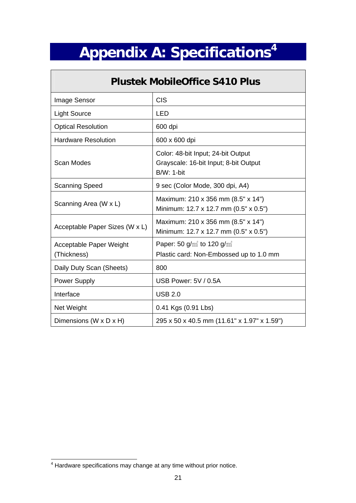# **Appendix A: Specifications[4](#page-23-1)**

<span id="page-23-0"></span> $\sqrt{2}$ 

| <b>Plustek MobileOffice S410 Plus</b>  |                                                                                                  |  |
|----------------------------------------|--------------------------------------------------------------------------------------------------|--|
| Image Sensor                           | <b>CIS</b>                                                                                       |  |
| <b>Light Source</b>                    | <b>LED</b>                                                                                       |  |
| <b>Optical Resolution</b>              | 600 dpi                                                                                          |  |
| <b>Hardware Resolution</b>             | 600 x 600 dpi                                                                                    |  |
| Scan Modes                             | Color: 48-bit Input; 24-bit Output<br>Grayscale: 16-bit Input; 8-bit Output<br><b>B/W: 1-bit</b> |  |
| <b>Scanning Speed</b>                  | 9 sec (Color Mode, 300 dpi, A4)                                                                  |  |
| Scanning Area (W x L)                  | Maximum: 210 x 356 mm (8.5" x 14")<br>Minimum: 12.7 x 12.7 mm (0.5" x 0.5")                      |  |
| Acceptable Paper Sizes (W x L)         | Maximum: 210 x 356 mm (8.5" x 14")<br>Minimum: 12.7 x 12.7 mm (0.5" x 0.5")                      |  |
| Acceptable Paper Weight<br>(Thickness) | Paper: 50 $g/m^2$ to 120 $g/m^2$<br>Plastic card: Non-Embossed up to 1.0 mm                      |  |
| Daily Duty Scan (Sheets)               | 800                                                                                              |  |
| Power Supply                           | USB Power: 5V / 0.5A                                                                             |  |
| Interface                              | <b>USB 2.0</b>                                                                                   |  |
| Net Weight                             | 0.41 Kgs (0.91 Lbs)                                                                              |  |
| Dimensions (W x D x H)                 | 295 x 50 x 40.5 mm (11.61" x 1.97" x 1.59")                                                      |  |

<span id="page-23-1"></span> <sup>4</sup> Hardware specifications may change at any time without prior notice.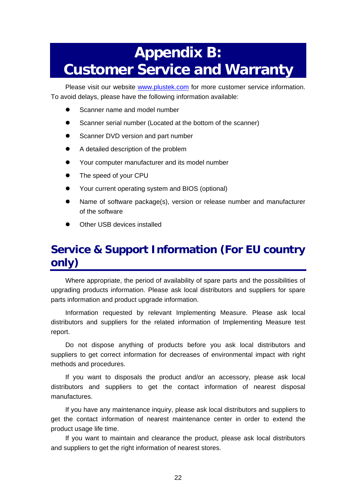## <span id="page-24-0"></span>**Appendix B: Customer Service and Warranty**

Please visit our website [www.plustek.com](http://www.plustek.com/) for more customer service information. To avoid delays, please have the following information available:

- Scanner name and model number
- Scanner serial number (Located at the bottom of the scanner)
- Scanner DVD version and part number
- A detailed description of the problem
- Your computer manufacturer and its model number
- The speed of your CPU
- Your current operating system and BIOS (optional)
- Name of software package(s), version or release number and manufacturer of the software
- Other USB devices installed

### **Service & Support Information (For EU country only)**

Where appropriate, the period of availability of spare parts and the possibilities of upgrading products information. Please ask local distributors and suppliers for spare parts information and product upgrade information.

Information requested by relevant Implementing Measure. Please ask local distributors and suppliers for the related information of Implementing Measure test report.

Do not dispose anything of products before you ask local distributors and suppliers to get correct information for decreases of environmental impact with right methods and procedures.

If you want to disposals the product and/or an accessory, please ask local distributors and suppliers to get the contact information of nearest disposal manufactures.

If you have any maintenance inquiry, please ask local distributors and suppliers to get the contact information of nearest maintenance center in order to extend the product usage life time.

If you want to maintain and clearance the product, please ask local distributors and suppliers to get the right information of nearest stores.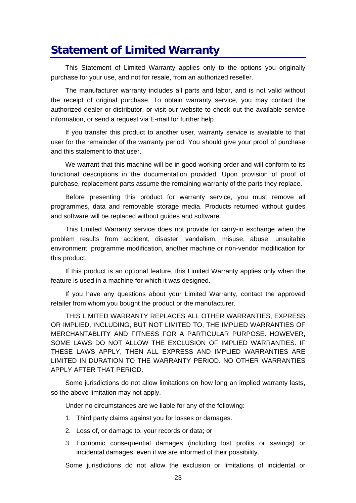### <span id="page-25-0"></span>**Statement of Limited Warranty**

This Statement of Limited Warranty applies only to the options you originally purchase for your use, and not for resale, from an authorized reseller.

The manufacturer warranty includes all parts and labor, and is not valid without the receipt of original purchase. To obtain warranty service, you may contact the authorized dealer or distributor, or visit our website to check out the available service information, or send a request via E-mail for further help.

If you transfer this product to another user, warranty service is available to that user for the remainder of the warranty period. You should give your proof of purchase and this statement to that user.

We warrant that this machine will be in good working order and will conform to its functional descriptions in the documentation provided. Upon provision of proof of purchase, replacement parts assume the remaining warranty of the parts they replace.

Before presenting this product for warranty service, you must remove all programmes, data and removable storage media. Products returned without guides and software will be replaced without guides and software.

This Limited Warranty service does not provide for carry-in exchange when the problem results from accident, disaster, vandalism, misuse, abuse, unsuitable environment, programme modification, another machine or non-vendor modification for this product.

If this product is an optional feature, this Limited Warranty applies only when the feature is used in a machine for which it was designed.

If you have any questions about your Limited Warranty, contact the approved retailer from whom you bought the product or the manufacturer.

THIS LIMITED WARRANTY REPLACES ALL OTHER WARRANTIES, EXPRESS OR IMPLIED, INCLUDING, BUT NOT LIMITED TO, THE IMPLIED WARRANTIES OF MERCHANTABLITY AND FITNESS FOR A PARTICULAR PURPOSE. HOWEVER, SOME LAWS DO NOT ALLOW THE EXCLUSION OF IMPLIED WARRANTIES. IF THESE LAWS APPLY, THEN ALL EXPRESS AND IMPLIED WARRANTIES ARE LIMITED IN DURATION TO THE WARRANTY PERIOD. NO OTHER WARRANTIES APPLY AFTER THAT PERIOD.

Some jurisdictions do not allow limitations on how long an implied warranty lasts, so the above limitation may not apply.

Under no circumstances are we liable for any of the following:

- 1. Third party claims against you for losses or damages.
- 2. Loss of, or damage to, your records or data; or
- 3. Economic consequential damages (including lost profits or savings) or incidental damages, even if we are informed of their possibility.

Some jurisdictions do not allow the exclusion or limitations of incidental or